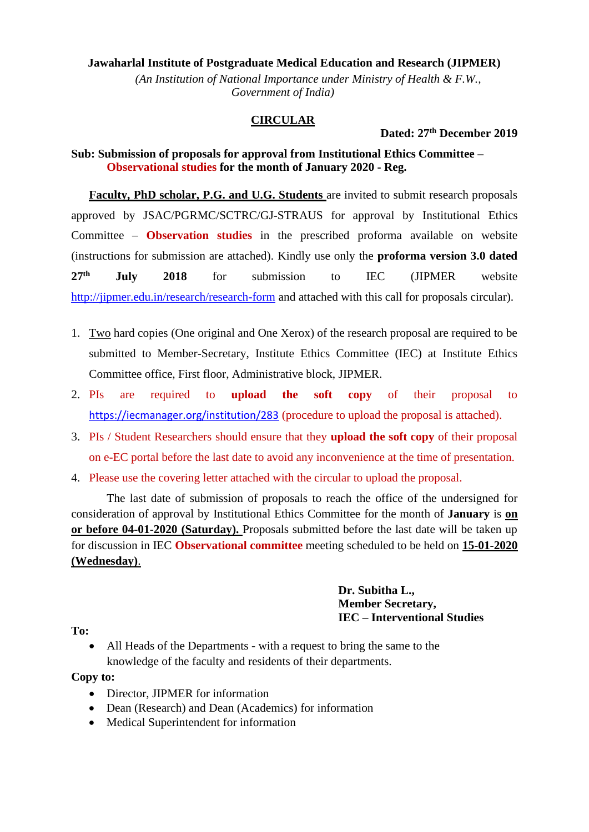# **Jawaharlal Institute of Postgraduate Medical Education and Research (JIPMER)**

 *(An Institution of National Importance under Ministry of Health & F.W., Government of India)*

# **CIRCULAR**

#### **Dated: 27th December 2019**

## **Sub: Submission of proposals for approval from Institutional Ethics Committee – Observational studies for the month of January 2020 - Reg.**

**Faculty, PhD scholar, P.G. and U.G. Students** are invited to submit research proposals approved by JSAC/PGRMC/SCTRC/GJ-STRAUS for approval by Institutional Ethics Committee – **Observation studies** in the prescribed proforma available on website (instructions for submission are attached). Kindly use only the **proforma version 3.0 dated 27th July 2018** for submission to IEC (JIPMER website <http://jipmer.edu.in/research/research-form> and attached with this call for proposals circular).

- 1. Two hard copies (One original and One Xerox) of the research proposal are required to be submitted to Member-Secretary, Institute Ethics Committee (IEC) at Institute Ethics Committee office, First floor, Administrative block, JIPMER.
- 2. PIs are required to **upload the soft copy** of their proposal to <https://iecmanager.org/institution/283> (procedure to upload the proposal is attached).
- 3. PIs / Student Researchers should ensure that they **upload the soft copy** of their proposal on e-EC portal before the last date to avoid any inconvenience at the time of presentation.
- 4. Please use the covering letter attached with the circular to upload the proposal.

The last date of submission of proposals to reach the office of the undersigned for consideration of approval by Institutional Ethics Committee for the month of **January** is **on or before 04-01-2020 (Saturday).** Proposals submitted before the last date will be taken up for discussion in IEC **Observational committee** meeting scheduled to be held on **15-01-2020 (Wednesday)**.

## **Dr. Subitha L., Member Secretary, IEC – Interventional Studies**

**To:** 

• All Heads of the Departments - with a request to bring the same to the knowledge of the faculty and residents of their departments.

#### **Copy to:**

- Director, JIPMER for information
- Dean (Research) and Dean (Academics) for information
- Medical Superintendent for information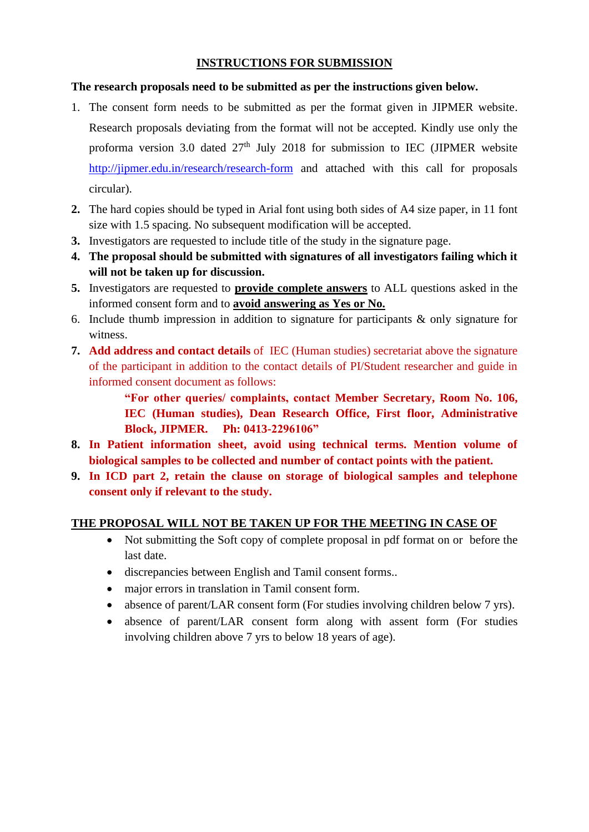# **INSTRUCTIONS FOR SUBMISSION**

# **The research proposals need to be submitted as per the instructions given below.**

- 1. The consent form needs to be submitted as per the format given in JIPMER website. Research proposals deviating from the format will not be accepted. Kindly use only the proforma version 3.0 dated  $27<sup>th</sup>$  July 2018 for submission to IEC (JIPMER website <http://jipmer.edu.in/research/research-form> and attached with this call for proposals circular).
- **2.** The hard copies should be typed in Arial font using both sides of A4 size paper, in 11 font size with 1.5 spacing. No subsequent modification will be accepted.
- **3.** Investigators are requested to include title of the study in the signature page.
- **4. The proposal should be submitted with signatures of all investigators failing which it will not be taken up for discussion.**
- **5.** Investigators are requested to **provide complete answers** to ALL questions asked in the informed consent form and to **avoid answering as Yes or No.**
- 6. Include thumb impression in addition to signature for participants & only signature for witness.
- **7. Add address and contact details** of IEC (Human studies) secretariat above the signature of the participant in addition to the contact details of PI/Student researcher and guide in informed consent document as follows:

**"For other queries/ complaints, contact Member Secretary, Room No. 106, IEC (Human studies), Dean Research Office, First floor, Administrative Block, JIPMER. Ph: 0413-2296106"**

- **8. In Patient information sheet, avoid using technical terms. Mention volume of biological samples to be collected and number of contact points with the patient.**
- **9. In ICD part 2, retain the clause on storage of biological samples and telephone consent only if relevant to the study.**

# **THE PROPOSAL WILL NOT BE TAKEN UP FOR THE MEETING IN CASE OF**

- Not submitting the Soft copy of complete proposal in pdf format on or before the last date.
- discrepancies between English and Tamil consent forms..
- major errors in translation in Tamil consent form.
- absence of parent/LAR consent form (For studies involving children below 7 yrs).
- absence of parent/LAR consent form along with assent form (For studies involving children above 7 yrs to below 18 years of age).